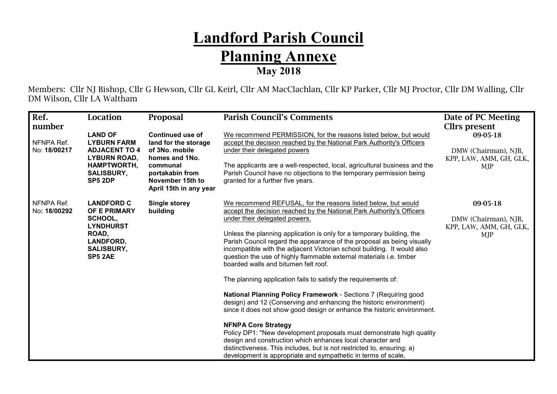## **Landford Parish Council Planning Annexe May 2018**

Members: Cllr NJ Bishop, Cllr G Hewson, Cllr GL Keirl, Cllr AM MacClachlan, Cllr KP Parker, Cllr MJ Proctor, Cllr DM Walling, Cllr DM Wilson, Cllr LA Waltham

| Ref.                                 | Location                                                                                                                                  | <b>Proposal</b>                                                                                                                                                  | <b>Parish Council's Comments</b>                                                                                                                                                                                                                                                                                                                                                                                                                                                                                                                                                                                                                                                                                                                                                                                                                                                                                                                                                                                                                                                                                          | Date of PC Meeting                                                                  |
|--------------------------------------|-------------------------------------------------------------------------------------------------------------------------------------------|------------------------------------------------------------------------------------------------------------------------------------------------------------------|---------------------------------------------------------------------------------------------------------------------------------------------------------------------------------------------------------------------------------------------------------------------------------------------------------------------------------------------------------------------------------------------------------------------------------------------------------------------------------------------------------------------------------------------------------------------------------------------------------------------------------------------------------------------------------------------------------------------------------------------------------------------------------------------------------------------------------------------------------------------------------------------------------------------------------------------------------------------------------------------------------------------------------------------------------------------------------------------------------------------------|-------------------------------------------------------------------------------------|
| number<br>NFNPA Ref.<br>No: 18/00217 | <b>LAND OF</b><br><b>LYBURN FARM</b><br><b>ADJACENT TO 4</b><br><b>LYBURN ROAD,</b><br><b>HAMPTWORTH,</b><br><b>SALISBURY,</b><br>SP5 2DP | <b>Continued use of</b><br>land for the storage<br>of 3No. mobile<br>homes and 1No.<br>communal<br>portakabin from<br>November 15th to<br>April 15th in any year | We recommend PERMISSION, for the reasons listed below, but would<br>accept the decision reached by the National Park Authority's Officers<br>under their delegated powers<br>The applicants are a well-respected, local, agricultural business and the<br>Parish Council have no objections to the temporary permission being<br>granted for a further five years.                                                                                                                                                                                                                                                                                                                                                                                                                                                                                                                                                                                                                                                                                                                                                        | Cllrs present<br>09-05-18<br>DMW (Chairman), NJB,<br>KPP, LAW, AMM, GH, GLK,<br>MJP |
| NFNPA Ref.<br>No: 18/00292           | <b>LANDFORD C</b><br>OF E PRIMARY<br>SCHOOL,<br><b>LYNDHURST</b><br>ROAD,<br><b>LANDFORD,</b><br><b>SALISBURY,</b><br>SP5 2AE             | <b>Single storey</b><br>building                                                                                                                                 | We recommend REFUSAL, for the reasons listed below, but would<br>accept the decision reached by the National Park Authority's Officers<br>under their delegated powers.<br>Unless the planning application is only for a temporary building, the<br>Parish Council regard the appearance of the proposal as being visually<br>incompatible with the adjacent Victorian school building. It would also<br>question the use of highly flammable external materials i.e. timber<br>boarded walls and bitumen felt roof.<br>The planning application fails to satisfy the requirements of:<br>National Planning Policy Framework - Sections 7 (Requiring good<br>design) and 12 (Conserving and enhancing the historic environment)<br>since it does not show good design or enhance the historic environment.<br><b>NFNPA Core Strategy</b><br>Policy DP1: "New development proposals must demonstrate high quality<br>design and construction which enhances local character and<br>distinctiveness. This includes, but is not restricted to, ensuring: a)<br>development is appropriate and sympathetic in terms of scale, | 09-05-18<br>DMW (Chairman), NJB,<br>KPP, LAW, AMM, GH, GLK,<br>MJP                  |